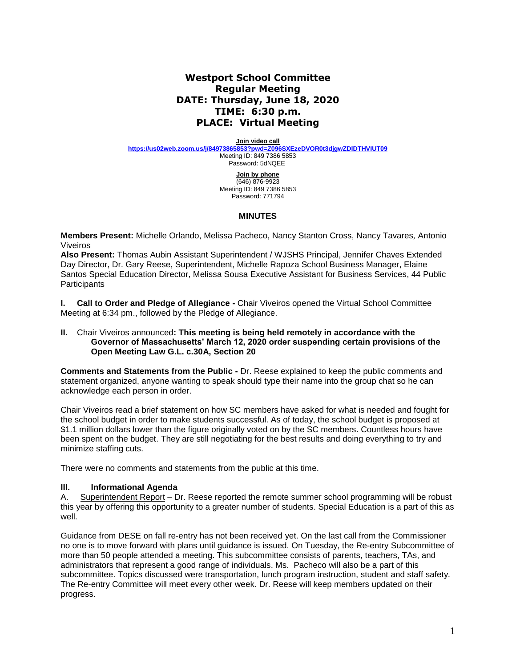# **Westport School Committee Regular Meeting DATE: Thursday, June 18, 2020 TIME: 6:30 p.m. PLACE: Virtual Meeting**

**Join video call**

**<https://us02web.zoom.us/j/84973865853?pwd=Z096SXEzeDVOR0t3djgwZDlDTHVIUT09>** Meeting ID: 849 7386 5853 Password: 5dNQEE

> **Join by phone** (646) 876-9923 Meeting ID: 849 7386 5853 Password: 771794

### **MINUTES**

**Members Present:** Michelle Orlando, Melissa Pacheco, Nancy Stanton Cross, Nancy Tavares*,* Antonio Viveiros

**Also Present:** Thomas Aubin Assistant Superintendent / WJSHS Principal, Jennifer Chaves Extended Day Director, Dr. Gary Reese, Superintendent, Michelle Rapoza School Business Manager, Elaine Santos Special Education Director, Melissa Sousa Executive Assistant for Business Services, 44 Public **Participants** 

**I. Call to Order and Pledge of Allegiance -** Chair Viveiros opened the Virtual School Committee Meeting at 6:34 pm., followed by the Pledge of Allegiance.

#### **II.** Chair Viveiros announced**: This meeting is being held remotely in accordance with the Governor of Massachusetts' March 12, 2020 order suspending certain provisions of the Open Meeting Law G.L. c.30A, Section 20**

**Comments and Statements from the Public -** Dr. Reese explained to keep the public comments and statement organized, anyone wanting to speak should type their name into the group chat so he can acknowledge each person in order.

Chair Viveiros read a brief statement on how SC members have asked for what is needed and fought for the school budget in order to make students successful. As of today, the school budget is proposed at \$1.1 million dollars lower than the figure originally voted on by the SC members. Countless hours have been spent on the budget. They are still negotiating for the best results and doing everything to try and minimize staffing cuts.

There were no comments and statements from the public at this time.

### **III. Informational Agenda**

A. Superintendent Report – Dr. Reese reported the remote summer school programming will be robust this year by offering this opportunity to a greater number of students. Special Education is a part of this as well.

Guidance from DESE on fall re-entry has not been received yet. On the last call from the Commissioner no one is to move forward with plans until guidance is issued. On Tuesday, the Re-entry Subcommittee of more than 50 people attended a meeting. This subcommittee consists of parents, teachers, TAs, and administrators that represent a good range of individuals. Ms. Pacheco will also be a part of this subcommittee. Topics discussed were transportation, lunch program instruction, student and staff safety. The Re-entry Committee will meet every other week. Dr. Reese will keep members updated on their progress.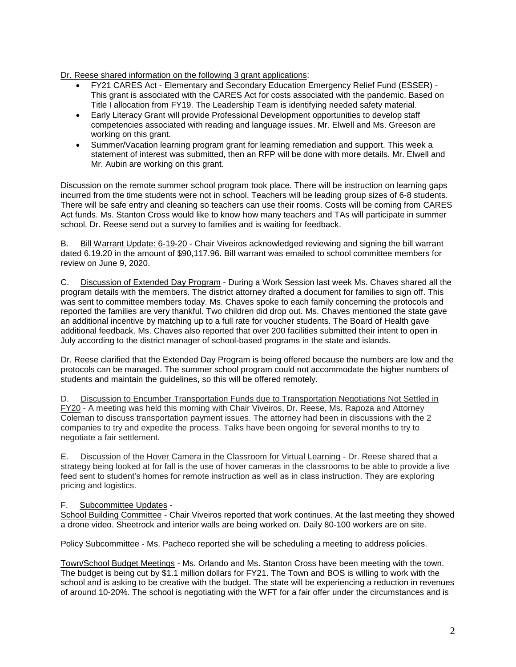Dr. Reese shared information on the following 3 grant applications:

- FY21 CARES Act Elementary and Secondary Education Emergency Relief Fund (ESSER) This grant is associated with the CARES Act for costs associated with the pandemic. Based on Title I allocation from FY19. The Leadership Team is identifying needed safety material.
- Early Literacy Grant will provide Professional Development opportunities to develop staff competencies associated with reading and language issues. Mr. Elwell and Ms. Greeson are working on this grant.
- Summer/Vacation learning program grant for learning remediation and support. This week a statement of interest was submitted, then an RFP will be done with more details. Mr. Elwell and Mr. Aubin are working on this grant.

Discussion on the remote summer school program took place. There will be instruction on learning gaps incurred from the time students were not in school. Teachers will be leading group sizes of 6-8 students. There will be safe entry and cleaning so teachers can use their rooms. Costs will be coming from CARES Act funds. Ms. Stanton Cross would like to know how many teachers and TAs will participate in summer school. Dr. Reese send out a survey to families and is waiting for feedback.

B. Bill Warrant Update: 6-19-20 - Chair Viveiros acknowledged reviewing and signing the bill warrant dated 6.19.20 in the amount of \$90,117.96. Bill warrant was emailed to school committee members for review on June 9, 2020.

C. Discussion of Extended Day Program - During a Work Session last week Ms. Chaves shared all the program details with the members. The district attorney drafted a document for families to sign off. This was sent to committee members today. Ms. Chaves spoke to each family concerning the protocols and reported the families are very thankful. Two children did drop out. Ms. Chaves mentioned the state gave an additional incentive by matching up to a full rate for voucher students. The Board of Health gave additional feedback. Ms. Chaves also reported that over 200 facilities submitted their intent to open in July according to the district manager of school-based programs in the state and islands.

Dr. Reese clarified that the Extended Day Program is being offered because the numbers are low and the protocols can be managed. The summer school program could not accommodate the higher numbers of students and maintain the guidelines, so this will be offered remotely.

D. Discussion to Encumber Transportation Funds due to Transportation Negotiations Not Settled in FY20 - A meeting was held this morning with Chair Viveiros, Dr. Reese, Ms. Rapoza and Attorney Coleman to discuss transportation payment issues. The attorney had been in discussions with the 2 companies to try and expedite the process. Talks have been ongoing for several months to try to negotiate a fair settlement.

E. Discussion of the Hover Camera in the Classroom for Virtual Learning - Dr. Reese shared that a strategy being looked at for fall is the use of hover cameras in the classrooms to be able to provide a live feed sent to student's homes for remote instruction as well as in class instruction. They are exploring pricing and logistics.

### F. Subcommittee Updates -

School Building Committee - Chair Viveiros reported that work continues. At the last meeting they showed a drone video. Sheetrock and interior walls are being worked on. Daily 80-100 workers are on site.

Policy Subcommittee - Ms. Pacheco reported she will be scheduling a meeting to address policies.

Town/School Budget Meetings - Ms. Orlando and Ms. Stanton Cross have been meeting with the town. The budget is being cut by \$1.1 million dollars for FY21. The Town and BOS is willing to work with the school and is asking to be creative with the budget. The state will be experiencing a reduction in revenues of around 10-20%. The school is negotiating with the WFT for a fair offer under the circumstances and is